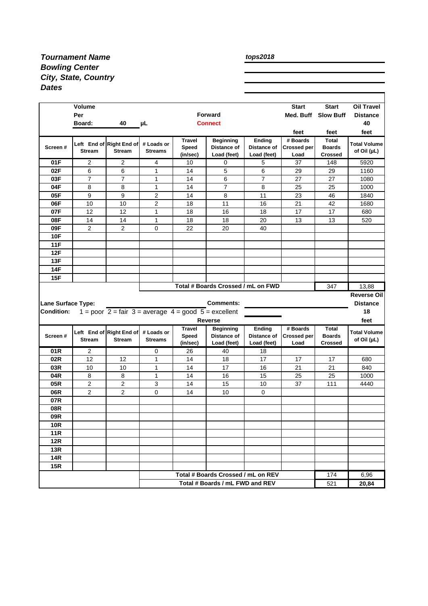## *Tournament Name Bowling Center City, State, Country Dates*

| tops2018 |
|----------|
|----------|

|                                    | <b>Volume</b>  |                                                                                       |                |                   |                                                                       |                       | <b>Start</b>               | <b>Start</b>                  | <b>Oil Travel</b>                   |
|------------------------------------|----------------|---------------------------------------------------------------------------------------|----------------|-------------------|-----------------------------------------------------------------------|-----------------------|----------------------------|-------------------------------|-------------------------------------|
|                                    | Per            |                                                                                       |                |                   | <b>Forward</b>                                                        |                       | Med. Buff                  | <b>Slow Buff</b>              | <b>Distance</b>                     |
|                                    | Board:         | 40                                                                                    | $\mu$ L        |                   | <b>Connect</b>                                                        |                       |                            |                               | 40                                  |
|                                    |                |                                                                                       |                |                   |                                                                       |                       | feet                       | feet                          | feet                                |
|                                    |                | Left End of Right End of                                                              | # Loads or     | <b>Travel</b>     | <b>Beginning</b>                                                      | Ending                | # Boards                   | <b>Total</b>                  | <b>Total Volume</b>                 |
| Screen#                            | <b>Stream</b>  | Stream                                                                                | <b>Streams</b> | <b>Speed</b>      | Distance of                                                           | Distance of           | <b>Crossed per</b>         | <b>Boards</b>                 | of Oil $(\mu L)$                    |
|                                    |                |                                                                                       |                | (in/sec)          | Load (feet)                                                           | Load (feet)           | Load                       | <b>Crossed</b>                |                                     |
| 01F                                | 2              | 2                                                                                     | 4              | 10                | 0                                                                     | 5                     | 37                         | 148                           | 5920                                |
| 02F                                | 6              | 6                                                                                     | $\mathbf{1}$   | 14                | 5                                                                     | 6                     | 29                         | 29                            | 1160                                |
| 03F                                | $\overline{7}$ | 7                                                                                     | 1              | 14                | 6                                                                     | $\overline{7}$        | 27                         | 27                            | 1080                                |
| 04F                                | 8              | 8                                                                                     | $\mathbf{1}$   | 14                | $\overline{7}$                                                        | 8                     | 25                         | 25                            | 1000                                |
| 05F                                | 9              | 9                                                                                     | $\overline{2}$ | 14                | 8                                                                     | 11                    | 23                         | 46                            | 1840                                |
| 06F                                | 10             | 10                                                                                    | 2              | 18                | 11                                                                    | 16                    | 21                         | 42                            | 1680                                |
| 07F                                | 12             | 12                                                                                    | $\mathbf{1}$   | 18                | 16                                                                    | 18                    | 17                         | 17                            | 680                                 |
| 08F                                | 14             | 14                                                                                    | $\mathbf{1}$   | 18                | 18                                                                    | 20                    | 13                         | 13                            | 520                                 |
| 09F                                | $\overline{2}$ | $\overline{2}$                                                                        | $\Omega$       | 22                | 20                                                                    | 40                    |                            |                               |                                     |
| <b>10F</b>                         |                |                                                                                       |                |                   |                                                                       |                       |                            |                               |                                     |
| <b>11F</b>                         |                |                                                                                       |                |                   |                                                                       |                       |                            |                               |                                     |
| 12F                                |                |                                                                                       |                |                   |                                                                       |                       |                            |                               |                                     |
| 13F                                |                |                                                                                       |                |                   |                                                                       |                       |                            |                               |                                     |
| 14F                                |                |                                                                                       |                |                   |                                                                       |                       |                            |                               |                                     |
| 15F                                |                |                                                                                       |                |                   |                                                                       |                       |                            |                               |                                     |
|                                    |                |                                                                                       |                |                   |                                                                       |                       |                            | 347                           |                                     |
| Total # Boards Crossed / mL on FWD |                |                                                                                       |                |                   |                                                                       |                       |                            |                               |                                     |
|                                    |                |                                                                                       |                |                   |                                                                       |                       |                            |                               | 13,88                               |
|                                    |                |                                                                                       |                |                   | <b>Comments:</b>                                                      |                       |                            |                               |                                     |
| <b>Condition:</b>                  |                |                                                                                       |                |                   |                                                                       |                       |                            |                               | <b>Distance</b><br>18               |
| <b>Lane Surface Type:</b>          |                | 1 = poor $2 = \text{fair } 3 = \text{average } 4 = \text{good } 5 = \text{excellent}$ |                |                   |                                                                       |                       |                            |                               |                                     |
|                                    |                |                                                                                       |                |                   | <b>Reverse</b>                                                        |                       |                            |                               | feet                                |
| Screen#                            |                | Left End of Right End of                                                              | # Loads or     | <b>Travel</b>     | <b>Beginning</b><br>Distance of                                       | Ending<br>Distance of | # Boards                   | <b>Total</b><br><b>Boards</b> | <b>Total Volume</b>                 |
|                                    | <b>Stream</b>  | <b>Stream</b>                                                                         | <b>Streams</b> | Speed<br>(in/sec) | Load (feet)                                                           | Load (feet)           | <b>Crossed per</b><br>Load | <b>Crossed</b>                | of Oil $(\mu L)$                    |
| 01R                                | 2              |                                                                                       | 0              | 26                | 40                                                                    | 18                    |                            |                               |                                     |
| 02R                                | 12             | 12                                                                                    | 1              | 14                | 18                                                                    | 17                    | 17                         | 17                            | 680                                 |
| 03R                                | 10             | 10                                                                                    | $\mathbf{1}$   | 14                | 17                                                                    | 16                    | 21                         | 21                            | 840                                 |
| 04R                                | 8              | 8                                                                                     | $\mathbf{1}$   | 14                | 16                                                                    | 15                    | 25                         | 25                            | 1000                                |
| 05R                                | $\overline{c}$ | $\overline{2}$                                                                        | 3              | 14                | 15                                                                    | 10                    | 37                         | 111                           | 4440                                |
| 06R                                | $\overline{2}$ | $\overline{2}$                                                                        | 0              | 14                | 10                                                                    | $\mathbf 0$           |                            |                               |                                     |
| 07R                                |                |                                                                                       |                |                   |                                                                       |                       |                            |                               |                                     |
| 08R                                |                |                                                                                       |                |                   |                                                                       |                       |                            |                               |                                     |
|                                    |                |                                                                                       |                |                   |                                                                       |                       |                            |                               |                                     |
| 09R                                |                |                                                                                       |                |                   |                                                                       |                       |                            |                               |                                     |
| <b>10R</b>                         |                |                                                                                       |                |                   |                                                                       |                       |                            |                               |                                     |
| <b>11R</b>                         |                |                                                                                       |                |                   |                                                                       |                       |                            |                               |                                     |
| 12R                                |                |                                                                                       |                |                   |                                                                       |                       |                            |                               |                                     |
| 13R                                |                |                                                                                       |                |                   |                                                                       |                       |                            |                               |                                     |
| <b>14R</b>                         |                |                                                                                       |                |                   |                                                                       |                       |                            |                               |                                     |
| 15R                                |                |                                                                                       |                |                   |                                                                       |                       |                            |                               |                                     |
|                                    |                |                                                                                       |                |                   | Total # Boards Crossed / mL on REV<br>Total # Boards / mL FWD and REV |                       |                            | 174<br>521                    | <b>Reverse Oil</b><br>6,96<br>20,84 |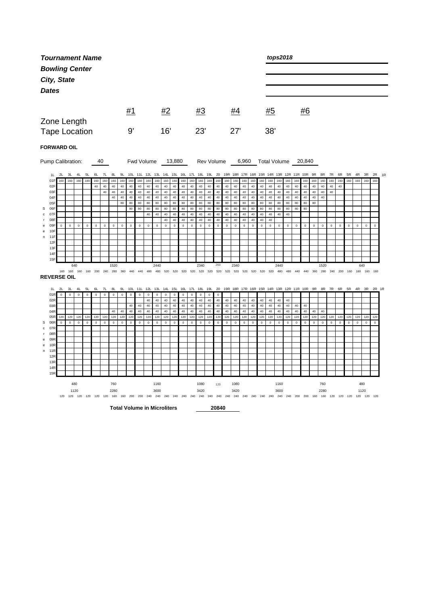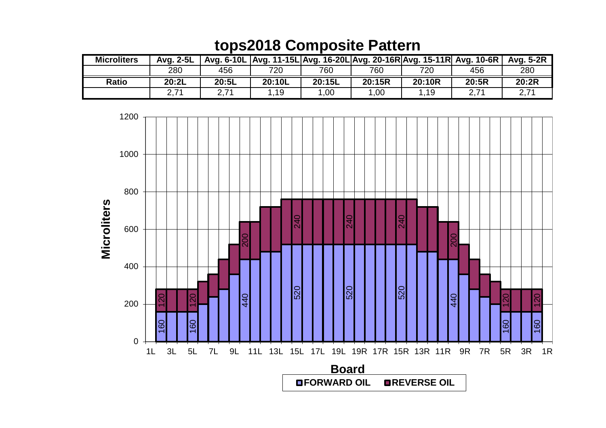## **tops2018 Composite Pattern**

| <b>Microliters</b> | Ava. 2-5L |       | Avg. 6-10L   Avg. 11-15L   Avg. 16-20L   Avg. 20-16R   Avg. 15-11R   Avg. 10-6R |        |        |        |       | Avg. 5-2R |
|--------------------|-----------|-------|---------------------------------------------------------------------------------|--------|--------|--------|-------|-----------|
|                    | 280       | 456   | 720                                                                             | 760    | 760    | 720    | 456   | 280       |
|                    |           |       |                                                                                 |        |        |        |       |           |
| <b>Ratio</b>       | 20:2L     | 20:5L | 20:10L                                                                          | 20:15L | 20:15R | 20:10R | 20:5R | 20:2R     |